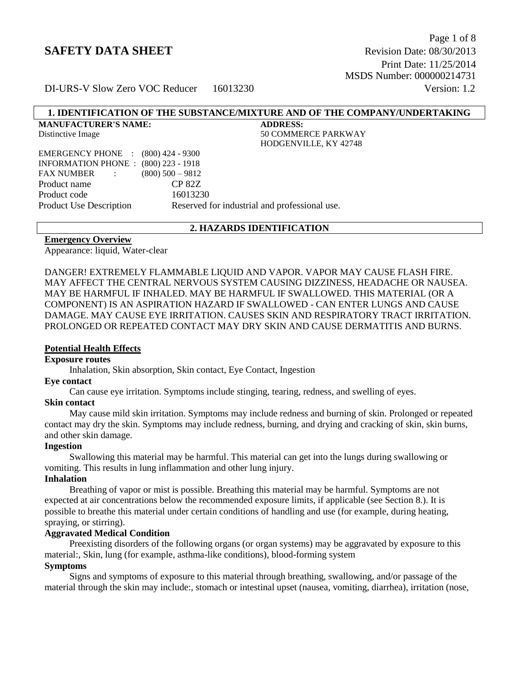Page 1 of 8 **SAFETY DATA SHEET** Revision Date: 08/30/2013 Print Date: 11/25/2014 MSDS Number: 000000214731

DI-URS-V Slow Zero VOC Reducer 16013230 Version: 1.2

# **1. IDENTIFICATION OF THE SUBSTANCE/MIXTURE AND OF THE COMPANY/UNDERTAKING**

| <b>MANUFACTURER'S NAME:</b>                 |                     | <b>ADDRESS:</b>                               |
|---------------------------------------------|---------------------|-----------------------------------------------|
| Distinctive Image                           |                     | <b>50 COMMERCE PARKWAY</b>                    |
|                                             |                     | HODGENVILLE, KY 42748                         |
| EMERGENCY PHONE : (800) 424 - 9300          |                     |                                               |
| <b>INFORMATION PHONE : (800) 223 - 1918</b> |                     |                                               |
| FAX NUMBER :                                | $(800)$ 500 $-9812$ |                                               |
| Product name                                | <b>CP 82Z</b>       |                                               |
| Product code                                | 16013230            |                                               |
| <b>Product Use Description</b>              |                     | Reserved for industrial and professional use. |
|                                             |                     |                                               |

#### **2. HAZARDS IDENTIFICATION**

#### **Emergency Overview**

Appearance: liquid, Water-clear

DANGER! EXTREMELY FLAMMABLE LIQUID AND VAPOR. VAPOR MAY CAUSE FLASH FIRE. MAY AFFECT THE CENTRAL NERVOUS SYSTEM CAUSING DIZZINESS, HEADACHE OR NAUSEA. MAY BE HARMFUL IF INHALED. MAY BE HARMFUL IF SWALLOWED. THIS MATERIAL (OR A COMPONENT) IS AN ASPIRATION HAZARD IF SWALLOWED - CAN ENTER LUNGS AND CAUSE DAMAGE. MAY CAUSE EYE IRRITATION. CAUSES SKIN AND RESPIRATORY TRACT IRRITATION. PROLONGED OR REPEATED CONTACT MAY DRY SKIN AND CAUSE DERMATITIS AND BURNS.

#### **Potential Health Effects**

#### **Exposure routes**

Inhalation, Skin absorption, Skin contact, Eye Contact, Ingestion

#### **Eye contact**

Can cause eye irritation. Symptoms include stinging, tearing, redness, and swelling of eyes.

#### **Skin contact**

 May cause mild skin irritation. Symptoms may include redness and burning of skin. Prolonged or repeated contact may dry the skin. Symptoms may include redness, burning, and drying and cracking of skin, skin burns, and other skin damage.

#### **Ingestion**

 Swallowing this material may be harmful. This material can get into the lungs during swallowing or vomiting. This results in lung inflammation and other lung injury.

# **Inhalation**

 Breathing of vapor or mist is possible. Breathing this material may be harmful. Symptoms are not expected at air concentrations below the recommended exposure limits, if applicable (see Section 8.). It is possible to breathe this material under certain conditions of handling and use (for example, during heating, spraying, or stirring).

#### **Aggravated Medical Condition**

 Preexisting disorders of the following organs (or organ systems) may be aggravated by exposure to this material:, Skin, lung (for example, asthma-like conditions), blood-forming system

# **Symptoms**

 Signs and symptoms of exposure to this material through breathing, swallowing, and/or passage of the material through the skin may include:, stomach or intestinal upset (nausea, vomiting, diarrhea), irritation (nose,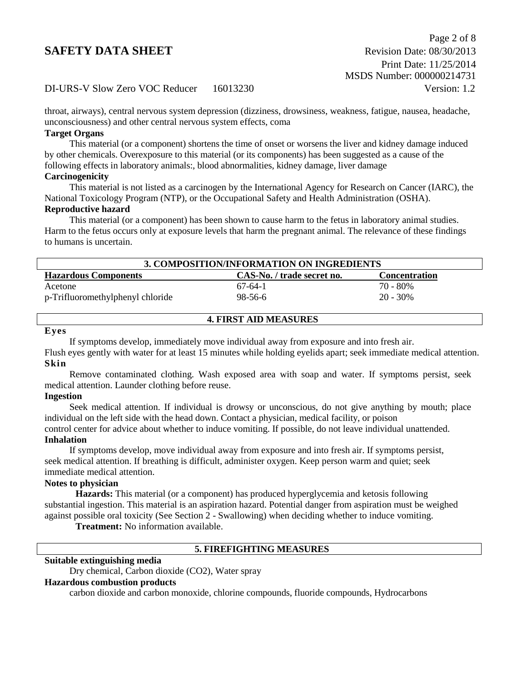throat, airways), central nervous system depression (dizziness, drowsiness, weakness, fatigue, nausea, headache, unconsciousness) and other central nervous system effects, coma

# **Target Organs**

 This material (or a component) shortens the time of onset or worsens the liver and kidney damage induced by other chemicals. Overexposure to this material (or its components) has been suggested as a cause of the following effects in laboratory animals:, blood abnormalities, kidney damage, liver damage

### **Carcinogenicity**

This material is not listed as a carcinogen by the International Agency for Research on Cancer (IARC), the National Toxicology Program (NTP), or the Occupational Safety and Health Administration (OSHA).

# **Reproductive hazard**

 This material (or a component) has been shown to cause harm to the fetus in laboratory animal studies. Harm to the fetus occurs only at exposure levels that harm the pregnant animal. The relevance of these findings to humans is uncertain.

| 3. COMPOSITION/INFORMATION ON INGREDIENTS |                            |                      |  |
|-------------------------------------------|----------------------------|----------------------|--|
| <b>Hazardous Components</b>               | CAS-No. / trade secret no. | <b>Concentration</b> |  |
| Acetone                                   | $67-64-1$                  | 70 - 80%             |  |
| p-Trifluoromethylphenyl chloride          | 98-56-6                    | 20 - 30%             |  |

# **4. FIRST AID MEASURES**

# **Eyes**

If symptoms develop, immediately move individual away from exposure and into fresh air.

Flush eyes gently with water for at least 15 minutes while holding eyelids apart; seek immediate medical attention. **Skin**

 Remove contaminated clothing. Wash exposed area with soap and water. If symptoms persist, seek medical attention. Launder clothing before reuse.

# **Ingestion**

 Seek medical attention. If individual is drowsy or unconscious, do not give anything by mouth; place individual on the left side with the head down. Contact a physician, medical facility, or poison control center for advice about whether to induce vomiting. If possible, do not leave individual unattended. **Inhalation**

 If symptoms develop, move individual away from exposure and into fresh air. If symptoms persist, seek medical attention. If breathing is difficult, administer oxygen. Keep person warm and quiet; seek immediate medical attention.

# **Notes to physician**

**Hazards:** This material (or a component) has produced hyperglycemia and ketosis following substantial ingestion. This material is an aspiration hazard. Potential danger from aspiration must be weighed against possible oral toxicity (See Section 2 - Swallowing) when deciding whether to induce vomiting.

**Treatment:** No information available.

# **5. FIREFIGHTING MEASURES**

#### **Suitable extinguishing media**

Dry chemical, Carbon dioxide (CO2), Water spray

#### **Hazardous combustion products**

carbon dioxide and carbon monoxide, chlorine compounds, fluoride compounds, Hydrocarbons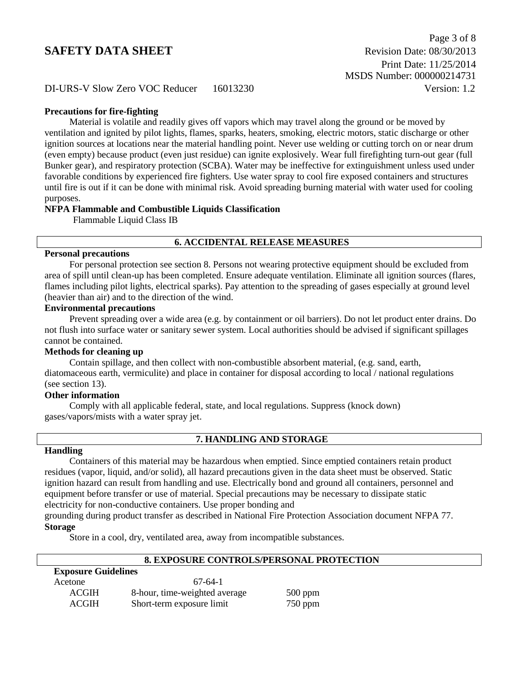### **Precautions for fire-fighting**

 Material is volatile and readily gives off vapors which may travel along the ground or be moved by ventilation and ignited by pilot lights, flames, sparks, heaters, smoking, electric motors, static discharge or other ignition sources at locations near the material handling point. Never use welding or cutting torch on or near drum (even empty) because product (even just residue) can ignite explosively. Wear full firefighting turn-out gear (full Bunker gear), and respiratory protection (SCBA). Water may be ineffective for extinguishment unless used under favorable conditions by experienced fire fighters. Use water spray to cool fire exposed containers and structures until fire is out if it can be done with minimal risk. Avoid spreading burning material with water used for cooling purposes.

#### **NFPA Flammable and Combustible Liquids Classification**

Flammable Liquid Class IB

# **6. ACCIDENTAL RELEASE MEASURES**

#### **Personal precautions**

 For personal protection see section 8. Persons not wearing protective equipment should be excluded from area of spill until clean-up has been completed. Ensure adequate ventilation. Eliminate all ignition sources (flares, flames including pilot lights, electrical sparks). Pay attention to the spreading of gases especially at ground level (heavier than air) and to the direction of the wind.

#### **Environmental precautions**

 Prevent spreading over a wide area (e.g. by containment or oil barriers). Do not let product enter drains. Do not flush into surface water or sanitary sewer system. Local authorities should be advised if significant spillages cannot be contained.

# **Methods for cleaning up**

 Contain spillage, and then collect with non-combustible absorbent material, (e.g. sand, earth, diatomaceous earth, vermiculite) and place in container for disposal according to local / national regulations (see section 13).

# **Other information**

 Comply with all applicable federal, state, and local regulations. Suppress (knock down) gases/vapors/mists with a water spray jet.

# **7. HANDLING AND STORAGE**

#### **Handling**

 Containers of this material may be hazardous when emptied. Since emptied containers retain product residues (vapor, liquid, and/or solid), all hazard precautions given in the data sheet must be observed. Static ignition hazard can result from handling and use. Electrically bond and ground all containers, personnel and equipment before transfer or use of material. Special precautions may be necessary to dissipate static electricity for non-conductive containers. Use proper bonding and

grounding during product transfer as described in National Fire Protection Association document NFPA 77. **Storage**

Store in a cool, dry, ventilated area, away from incompatible substances.

# **8. EXPOSURE CONTROLS/PERSONAL PROTECTION**

| <b>Exposure Guidelines</b> |                               |           |  |
|----------------------------|-------------------------------|-----------|--|
| Acetone                    | $67-64-1$                     |           |  |
| <b>ACGIH</b>               | 8-hour, time-weighted average | $500$ ppm |  |
| <b>ACGIH</b>               | Short-term exposure limit     | $750$ ppm |  |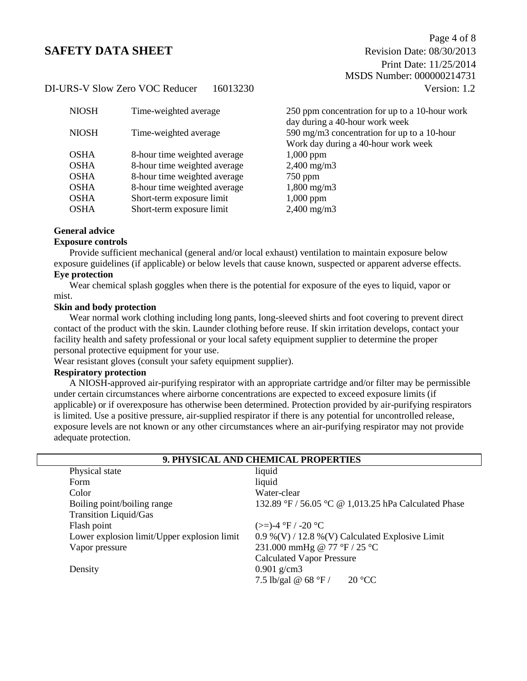| <b>NIOSH</b> | Time-weighted average        | 250 ppm concentration for up to a 10-hour work                                                                       |
|--------------|------------------------------|----------------------------------------------------------------------------------------------------------------------|
| <b>NIOSH</b> | Time-weighted average        | day during a 40-hour work week<br>590 mg/m3 concentration for up to a 10-hour<br>Work day during a 40-hour work week |
| <b>OSHA</b>  | 8-hour time weighted average | $1,000$ ppm                                                                                                          |
| <b>OSHA</b>  | 8-hour time weighted average | $2,400 \text{ mg/m}$                                                                                                 |
| <b>OSHA</b>  | 8-hour time weighted average | $750$ ppm                                                                                                            |
| <b>OSHA</b>  | 8-hour time weighted average | $1,800 \text{ mg/m}$ 3                                                                                               |
| <b>OSHA</b>  | Short-term exposure limit    | $1,000$ ppm                                                                                                          |
| <b>OSHA</b>  | Short-term exposure limit    | $2,400$ mg/m $3$                                                                                                     |
|              |                              |                                                                                                                      |

# **General advice**

#### **Exposure controls**

Provide sufficient mechanical (general and/or local exhaust) ventilation to maintain exposure below exposure guidelines (if applicable) or below levels that cause known, suspected or apparent adverse effects.

# **Eye protection**

Wear chemical splash goggles when there is the potential for exposure of the eyes to liquid, vapor or mist.

#### **Skin and body protection**

 Wear normal work clothing including long pants, long-sleeved shirts and foot covering to prevent direct contact of the product with the skin. Launder clothing before reuse. If skin irritation develops, contact your facility health and safety professional or your local safety equipment supplier to determine the proper personal protective equipment for your use.

Wear resistant gloves (consult your safety equipment supplier).

#### **Respiratory protection**

A NIOSH-approved air-purifying respirator with an appropriate cartridge and/or filter may be permissible under certain circumstances where airborne concentrations are expected to exceed exposure limits (if applicable) or if overexposure has otherwise been determined. Protection provided by air-purifying respirators is limited. Use a positive pressure, air-supplied respirator if there is any potential for uncontrolled release, exposure levels are not known or any other circumstances where an air-purifying respirator may not provide adequate protection.

| 9. PHYSICAL AND CHEMICAL PROPERTIES         |                                                      |  |  |
|---------------------------------------------|------------------------------------------------------|--|--|
| Physical state                              | liquid                                               |  |  |
| Form                                        | liquid                                               |  |  |
| Color                                       | Water-clear                                          |  |  |
| Boiling point/boiling range                 | 132.89 °F / 56.05 °C @ 1,013.25 hPa Calculated Phase |  |  |
| <b>Transition Liquid/Gas</b>                |                                                      |  |  |
| Flash point                                 | $(>=)$ -4 °F / -20 °C                                |  |  |
| Lower explosion limit/Upper explosion limit | 0.9 %(V) / 12.8 %(V) Calculated Explosive Limit      |  |  |
| Vapor pressure                              | 231.000 mmHg @ 77 °F / 25 °C                         |  |  |
|                                             | <b>Calculated Vapor Pressure</b>                     |  |  |
| Density                                     | $0.901$ g/cm3                                        |  |  |
|                                             | 7.5 lb/gal @ 68 $\degree$ F /<br>$-20 °CC$           |  |  |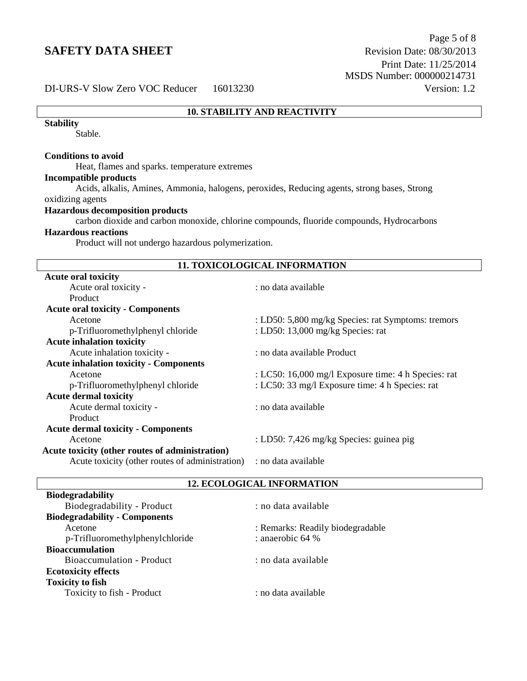# **10. STABILITY AND REACTIVITY**

#### **Stability**

Stable.

# **Conditions to avoid**

Heat, flames and sparks. temperature extremes

#### **Incompatible products**

Acids, alkalis, Amines, Ammonia, halogens, peroxides, Reducing agents, strong bases, Strong oxidizing agents

## **Hazardous decomposition products**

carbon dioxide and carbon monoxide, chlorine compounds, fluoride compounds, Hydrocarbons

## **Hazardous reactions**

Product will not undergo hazardous polymerization.

| <b>11. TOXICOLOGICAL INFORMATION</b>            |                                                     |  |  |
|-------------------------------------------------|-----------------------------------------------------|--|--|
| <b>Acute oral toxicity</b>                      |                                                     |  |  |
| Acute oral toxicity -                           | : no data available                                 |  |  |
| Product                                         |                                                     |  |  |
| <b>Acute oral toxicity - Components</b>         |                                                     |  |  |
| Acetone                                         | : LD50: 5,800 mg/kg Species: rat Symptoms: tremors  |  |  |
| p-Trifluoromethylphenyl chloride                | : LD50: 13,000 mg/kg Species: rat                   |  |  |
| <b>Acute inhalation toxicity</b>                |                                                     |  |  |
| Acute inhalation toxicity -                     | : no data available Product                         |  |  |
| <b>Acute inhalation toxicity - Components</b>   |                                                     |  |  |
| Acetone                                         | : LC50: 16,000 mg/l Exposure time: 4 h Species: rat |  |  |
| p-Trifluoromethylphenyl chloride                | : LC50: 33 mg/l Exposure time: 4 h Species: rat     |  |  |
| <b>Acute dermal toxicity</b>                    |                                                     |  |  |
| Acute dermal toxicity -                         | : no data available                                 |  |  |
| <b>Product</b>                                  |                                                     |  |  |
| <b>Acute dermal toxicity - Components</b>       |                                                     |  |  |
| Acetone                                         | : LD50: 7,426 mg/kg Species: guinea pig             |  |  |
| Acute toxicity (other routes of administration) |                                                     |  |  |
| Acute toxicity (other routes of administration) | : no data available                                 |  |  |

# **12. ECOLOGICAL INFORMATION**

| <b>Biodegradability</b>              |                                  |
|--------------------------------------|----------------------------------|
| Biodegradability - Product           | : no data available              |
| <b>Biodegradability - Components</b> |                                  |
| Acetone                              | : Remarks: Readily biodegradable |
| p-Trifluoromethylphenylchloride      | : anaerobic 64 %                 |
| <b>Bioaccumulation</b>               |                                  |
| Bioaccumulation - Product            | : no data available              |
| <b>Ecotoxicity effects</b>           |                                  |
| <b>Toxicity to fish</b>              |                                  |
| Toxicity to fish - Product           | : no data available              |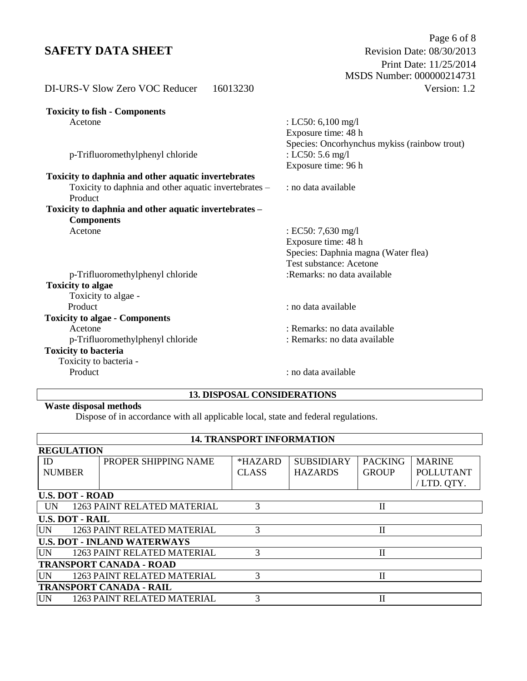# **SAFETY DATA SHEET**

| DI-URS-V Slow Zero VOC Reducer<br>16013230                       | Version: 1.2                                                     |
|------------------------------------------------------------------|------------------------------------------------------------------|
| <b>Toxicity to fish - Components</b>                             |                                                                  |
| Acetone                                                          | : LC50: 6,100 mg/l<br>Exposure time: 48 h                        |
| p-Trifluoromethylphenyl chloride                                 | Species: Oncorhynchus mykiss (rainbow trout)<br>: LC50: 5.6 mg/l |
|                                                                  | Exposure time: 96 h                                              |
| Toxicity to daphnia and other aquatic invertebrates              |                                                                  |
| Toxicity to daphnia and other aquatic invertebrates –<br>Product | : no data available                                              |
| Toxicity to daphnia and other aquatic invertebrates -            |                                                                  |
| <b>Components</b>                                                |                                                                  |
| Acetone                                                          | : EC50: 7,630 mg/l                                               |
|                                                                  | Exposure time: 48 h                                              |
|                                                                  | Species: Daphnia magna (Water flea)                              |
|                                                                  | Test substance: Acetone                                          |
| p-Trifluoromethylphenyl chloride                                 | :Remarks: no data available                                      |
| <b>Toxicity to algae</b>                                         |                                                                  |
| Toxicity to algae -                                              |                                                                  |
| Product                                                          | : no data available                                              |
| <b>Toxicity to algae - Components</b>                            |                                                                  |
| Acetone                                                          | : Remarks: no data available                                     |
| p-Trifluoromethylphenyl chloride                                 | : Remarks: no data available                                     |
| <b>Toxicity to bacteria</b>                                      |                                                                  |
| Toxicity to bacteria -                                           |                                                                  |
| Product                                                          | : no data available                                              |
|                                                                  |                                                                  |

# **13. DISPOSAL CONSIDERATIONS**

# **Waste disposal methods**

Dispose of in accordance with all applicable local, state and federal regulations.

| <b>14. TRANSPORT INFORMATION</b> |                                    |              |                   |                |                  |
|----------------------------------|------------------------------------|--------------|-------------------|----------------|------------------|
| <b>REGULATION</b>                |                                    |              |                   |                |                  |
| ID                               | PROPER SHIPPING NAME               | *HAZARD      | <b>SUBSIDIARY</b> | <b>PACKING</b> | <b>MARINE</b>    |
| <b>NUMBER</b>                    |                                    | <b>CLASS</b> | <b>HAZARDS</b>    | <b>GROUP</b>   | <b>POLLUTANT</b> |
|                                  |                                    |              |                   |                | /LTD. QTY.       |
| <b>U.S. DOT - ROAD</b>           |                                    |              |                   |                |                  |
| <b>IIN</b>                       | <b>1263 PAINT RELATED MATERIAL</b> | 3            |                   | $\mathbf{I}$   |                  |
| <b>U.S. DOT - RAIL</b>           |                                    |              |                   |                |                  |
| <b>UN</b>                        | 1263 PAINT RELATED MATERIAL        | 3            |                   | $\mathbf{I}$   |                  |
|                                  | <b>U.S. DOT - INLAND WATERWAYS</b> |              |                   |                |                  |
| <b>UN</b>                        | 1263 PAINT RELATED MATERIAL        | 3            |                   | П              |                  |
|                                  | <b>TRANSPORT CANADA - ROAD</b>     |              |                   |                |                  |
| <b>UN</b>                        | 1263 PAINT RELATED MATERIAL        | 3            |                   | $\mathbf{I}$   |                  |
|                                  | <b>TRANSPORT CANADA - RAIL</b>     |              |                   |                |                  |
| <b>UN</b>                        | 1263 PAINT RELATED MATERIAL        | 3            |                   | П              |                  |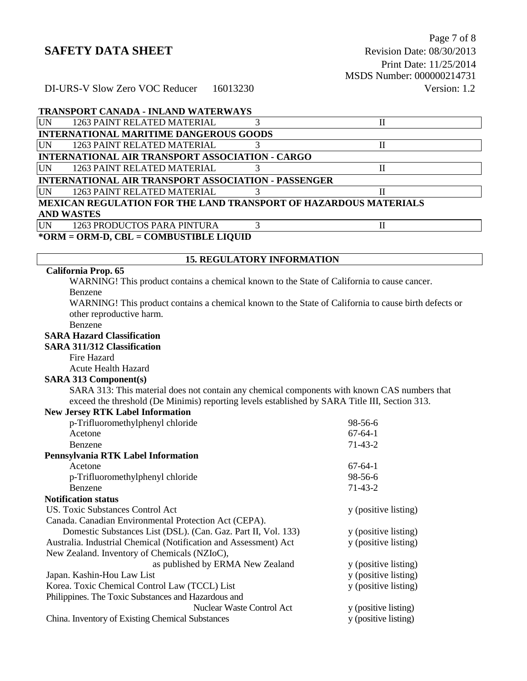# **TRANSPORT CANADA - INLAND WATERWAYS**

| <b>UN</b> | <b>1263 PAINT RELATED MATERIAL</b>                                      |  |  |
|-----------|-------------------------------------------------------------------------|--|--|
|           | <b>INTERNATIONAL MARITIME DANGEROUS GOODS</b>                           |  |  |
| <b>UN</b> | <b>1263 PAINT RELATED MATERIAL</b>                                      |  |  |
|           | INTERNATIONAL AIR TRANSPORT ASSOCIATION - CARGO                         |  |  |
| UN        | <b>1263 PAINT RELATED MATERIAL</b>                                      |  |  |
|           | <b>INTERNATIONAL AIR TRANSPORT ASSOCIATION - PASSENGER</b>              |  |  |
| UN        | 1263 PAINT RELATED MATERIAL                                             |  |  |
|           | <b>MEXICAN REGULATION FOR THE LAND TRANSPORT OF HAZARDOUS MATERIALS</b> |  |  |
|           | <b>AND WASTES</b>                                                       |  |  |
| UN        | 1263 PRODUCTOS PARA PINTURA                                             |  |  |
|           | *ORM = ORM-D, CBL = COMBUSTIBLE LIQUID                                  |  |  |

#### **15. REGULATORY INFORMATION**

# **California Prop. 65**

WARNING! This product contains a chemical known to the State of California to cause cancer. Benzene

WARNING! This product contains a chemical known to the State of California to cause birth defects or other reproductive harm.

#### Benzene

# **SARA Hazard Classification**

# **SARA 311/312 Classification**

Fire Hazard

# Acute Health Hazard

# **SARA 313 Component(s)**

SARA 313: This material does not contain any chemical components with known CAS numbers that exceed the threshold (De Minimis) reporting levels established by SARA Title III, Section 313. **New Jersey RTK Label Information**

| <b>THEW JELSEY IN LK LADEL HILDI HIAGOII</b>                     |                      |
|------------------------------------------------------------------|----------------------|
| p-Trifluoromethylphenyl chloride                                 | 98-56-6              |
| Acetone                                                          | $67-64-1$            |
| Benzene                                                          | $71-43-2$            |
| Pennsylvania RTK Label Information                               |                      |
| Acetone                                                          | $67-64-1$            |
| p-Trifluoromethylphenyl chloride                                 | 98-56-6              |
| Benzene                                                          | $71-43-2$            |
| <b>Notification status</b>                                       |                      |
| US. Toxic Substances Control Act                                 | y (positive listing) |
| Canada. Canadian Environmental Protection Act (CEPA).            |                      |
| Domestic Substances List (DSL). (Can. Gaz. Part II, Vol. 133)    | y (positive listing) |
| Australia. Industrial Chemical (Notification and Assessment) Act | y (positive listing) |
| New Zealand. Inventory of Chemicals (NZIoC),                     |                      |
| as published by ERMA New Zealand                                 | y (positive listing) |
| Japan. Kashin-Hou Law List                                       | y (positive listing) |
| Korea. Toxic Chemical Control Law (TCCL) List                    | y (positive listing) |
| Philippines. The Toxic Substances and Hazardous and              |                      |
| Nuclear Waste Control Act                                        | y (positive listing) |
| China. Inventory of Existing Chemical Substances                 | y (positive listing) |